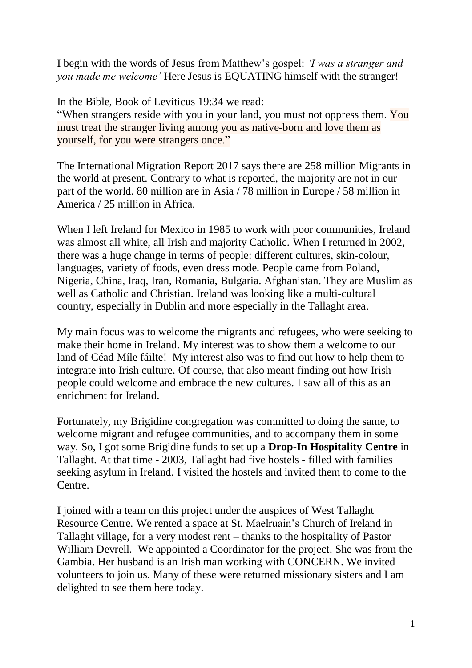I begin with the words of Jesus from Matthew's gospel: *'I was a stranger and you made me welcome'* Here Jesus is EQUATING himself with the stranger!

In the Bible, Book of Leviticus 19:34 we read:

"When strangers reside with you in your land, you must not oppress them. You [must treat](https://biblehub.com/hebrew/1961.htm) [the](https://biblehub.com/hebrew/1616.htm) stranger living [among](https://biblehub.com/hebrew/854.htm) you [as native-born](https://biblehub.com/hebrew/249.htm) [and love](https://biblehub.com/hebrew/157.htm) them [as](https://biblehub.com/hebrew/3644.htm)  [yourself,](https://biblehub.com/hebrew/3644.htm) [for](https://biblehub.com/hebrew/3588.htm) [you were](https://biblehub.com/hebrew/1961.htm) [strangers](https://biblehub.com/hebrew/1616.htm) once."

The International Migration Report 2017 says there are 258 million Migrants in the world at present. Contrary to what is reported, the majority are not in our part of the world. 80 million are in Asia / 78 million in Europe / 58 million in America / 25 million in Africa.

When I left Ireland for Mexico in 1985 to work with poor communities, Ireland was almost all white, all Irish and majority Catholic. When I returned in 2002, there was a huge change in terms of people: different cultures, skin-colour, languages, variety of foods, even dress mode. People came from Poland, Nigeria, China, Iraq, Iran, Romania, Bulgaria. Afghanistan. They are Muslim as well as Catholic and Christian. Ireland was looking like a multi-cultural country, especially in Dublin and more especially in the Tallaght area.

My main focus was to welcome the migrants and refugees, who were seeking to make their home in Ireland. My interest was to show them a welcome to our land of [Céad Míle fáilte!](https://www.irishtimes.com/culture/art-and-design/visual-art/c%C3%A9ad-m%C3%ADle-f%C3%A1ilte-the-true-meaning-of-hospitality-1.3474075) My interest also was to find out how to help them to integrate into Irish culture. Of course, that also meant finding out how Irish people could welcome and embrace the new cultures. I saw all of this as an enrichment for Ireland.

Fortunately, my Brigidine congregation was committed to doing the same, to welcome migrant and refugee communities, and to accompany them in some way. So, I got some Brigidine funds to set up a **Drop-In Hospitality Centre** in Tallaght. At that time - 2003, Tallaght had five hostels - filled with families seeking asylum in Ireland. I visited the hostels and invited them to come to the Centre.

I joined with a team on this project under the auspices of West Tallaght Resource Centre. We rented a space at St. Maelruain's Church of Ireland in Tallaght village, for a very modest rent – thanks to the hospitality of Pastor William Devrell. We appointed a Coordinator for the project. She was from the Gambia. Her husband is an Irish man working with CONCERN. We invited volunteers to join us. Many of these were returned missionary sisters and I am delighted to see them here today.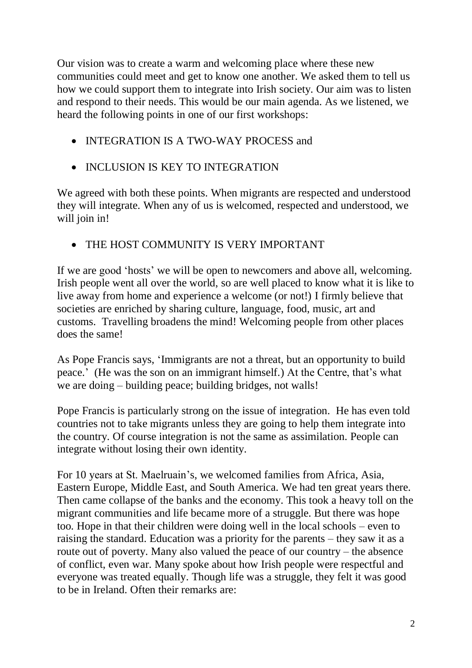Our vision was to create a warm and welcoming place where these new communities could meet and get to know one another. We asked them to tell us how we could support them to integrate into Irish society. Our aim was to listen and respond to their needs. This would be our main agenda. As we listened, we heard the following points in one of our first workshops:

- INTEGRATION IS A TWO-WAY PROCESS and
- INCLUSION IS KEY TO INTEGRATION

We agreed with both these points. When migrants are respected and understood they will integrate. When any of us is welcomed, respected and understood, we will join in!

THE HOST COMMUNITY IS VERY IMPORTANT

If we are good 'hosts' we will be open to newcomers and above all, welcoming. Irish people went all over the world, so are well placed to know what it is like to live away from home and experience a welcome (or not!) I firmly believe that societies are enriched by sharing culture, language, food, music, art and customs. Travelling broadens the mind! Welcoming people from other places does the same!

As Pope Francis says, 'Immigrants are not a threat, but an opportunity to build peace.' (He was the son on an immigrant himself.) At the Centre, that's what we are doing – building peace; building bridges, not walls!

Pope Francis is particularly strong on the issue of integration. He has even told countries not to take migrants unless they are going to help them integrate into the country. Of course integration is not the same as assimilation. People can integrate without losing their own identity.

For 10 years at St. Maelruain's, we welcomed families from Africa, Asia, Eastern Europe, Middle East, and South America. We had ten great years there. Then came collapse of the banks and the economy. This took a heavy toll on the migrant communities and life became more of a struggle. But there was hope too. Hope in that their children were doing well in the local schools – even to raising the standard. Education was a priority for the parents – they saw it as a route out of poverty. Many also valued the peace of our country – the absence of conflict, even war. Many spoke about how Irish people were respectful and everyone was treated equally. Though life was a struggle, they felt it was good to be in Ireland. Often their remarks are: